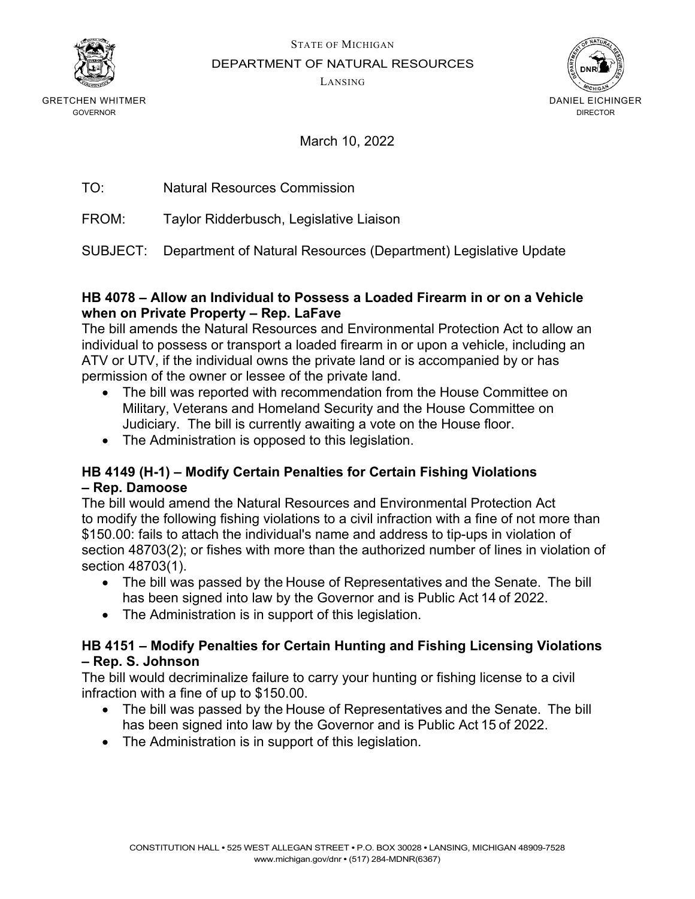

STATE OF MICHIGAN

DEPARTMENT OF NATURAL RESOURCES

LANSING



GRETCHEN WHITMER GOVERNOR

March 10, 2022

| TO: | <b>Natural Resources Commission</b> |  |
|-----|-------------------------------------|--|
|     |                                     |  |

FROM: Taylor Ridderbusch, Legislative Liaison

SUBJECT: Department of Natural Resources (Department) Legislative Update

#### **HB 4078 – Allow an Individual to Possess a Loaded Firearm in or on a Vehicle when on Private Property – Rep. LaFave**

The bill amends the Natural Resources and Environmental Protection Act to allow an individual to possess or transport a loaded firearm in or upon a vehicle, including an ATV or UTV, if the individual owns the private land or is accompanied by or has permission of the owner or lessee of the private land.

- The bill was reported with recommendation from the House Committee on Military, Veterans and Homeland Security and the House Committee on Judiciary. The bill is currently awaiting a vote on the House floor.
- The Administration is opposed to this legislation.

### **HB 4149 (H-1) – Modify Certain Penalties for Certain Fishing Violations – Rep. Damoose**

The bill would amend the Natural Resources and Environmental Protection Act to modify the following fishing violations to a civil infraction with a fine of not more than \$150.00: fails to attach the individual's name and address to tip-ups in violation of section 48703(2); or fishes with more than the authorized number of lines in violation of section 48703(1).

- The bill was passed by the House of Representatives and the Senate.  The bill has been signed into law by the Governor and is Public Act 14 of 2022.
- The Administration is in support of this legislation.

### **HB 4151 – Modify Penalties for Certain Hunting and Fishing Licensing Violations – Rep. S. Johnson**

The bill would decriminalize failure to carry your hunting or fishing license to a civil infraction with a fine of up to \$150.00.

- The bill was passed by the House of Representatives and the Senate.  The bill has been signed into law by the Governor and is Public Act 15 of 2022.
- The Administration is in support of this legislation.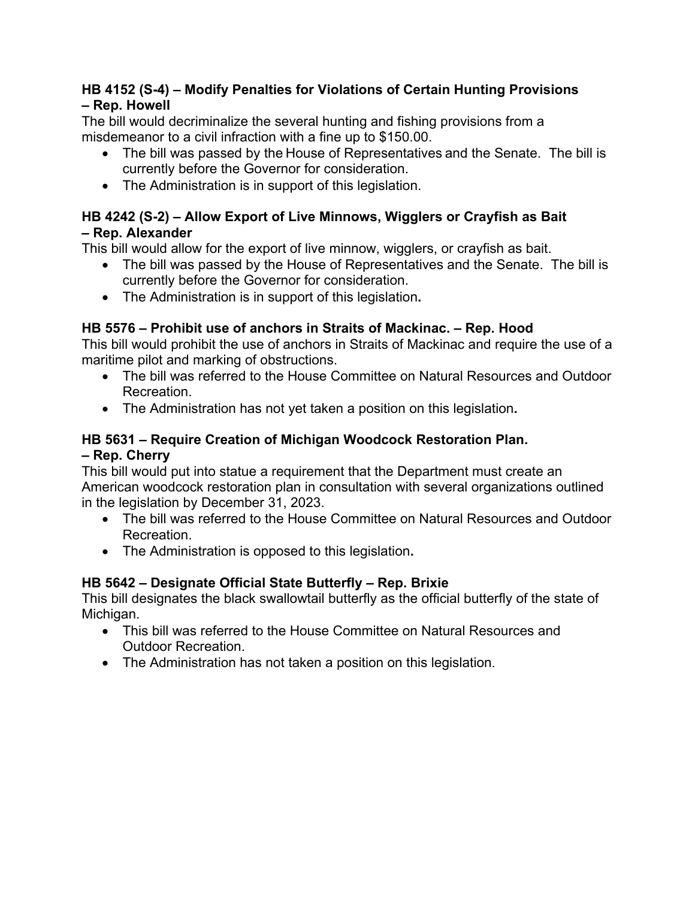### **HB 4152 (S-4) – Modify Penalties for Violations of Certain Hunting Provisions – Rep. Howell**

The bill would decriminalize the several hunting and fishing provisions from a misdemeanor to a civil infraction with a fine up to \$150.00.

- The bill was passed by the House of Representatives and the Senate. The bill is currently before the Governor for consideration.
- The Administration is in support of this legislation.

## **HB 4242 (S-2) – Allow Export of Live Minnows, Wigglers or Crayfish as Bait – Rep. Alexander**

This bill would allow for the export of live minnow, wigglers, or crayfish as bait.

- The bill was passed by the House of Representatives and the Senate. The bill is currently before the Governor for consideration.
- The Administration is in support of this legislation**.**

# **HB 5576 – Prohibit use of anchors in Straits of Mackinac. – Rep. Hood**

This bill would prohibit the use of anchors in Straits of Mackinac and require the use of a maritime pilot and marking of obstructions.

- The bill was referred to the House Committee on Natural Resources and Outdoor Recreation.
- The Administration has not yet taken a position on this legislation**.**

## **HB 5631 – Require Creation of Michigan Woodcock Restoration Plan. – Rep. Cherry**

This bill would put into statue a requirement that the Department must create an American woodcock restoration plan in consultation with several organizations outlined in the legislation by December 31, 2023.

- The bill was referred to the House Committee on Natural Resources and Outdoor Recreation.
- The Administration is opposed to this legislation**.**

# **HB 5642 – Designate Official State Butterfly – Rep. Brixie**

This bill designates the black swallowtail butterfly as the official butterfly of the state of Michigan.

- This bill was referred to the House Committee on Natural Resources and Outdoor Recreation.
- The Administration has not taken a position on this legislation.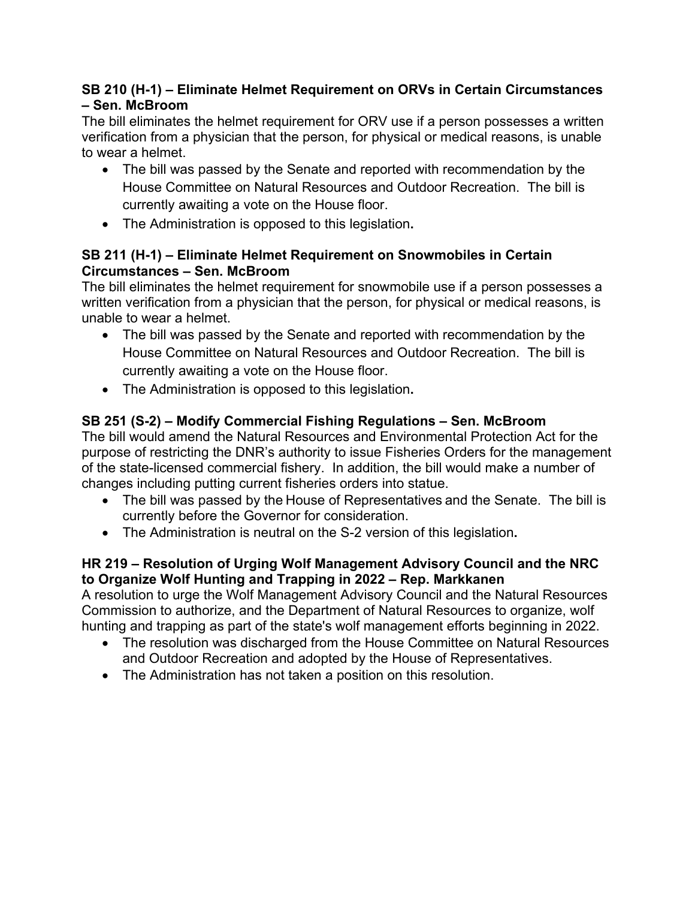### **SB 210 (H-1) – Eliminate Helmet Requirement on ORVs in Certain Circumstances – Sen. McBroom**

The bill eliminates the helmet requirement for ORV use if a person possesses a written verification from a physician that the person, for physical or medical reasons, is unable to wear a helmet.

- The bill was passed by the Senate and reported with recommendation by the House Committee on Natural Resources and Outdoor Recreation. The bill is currently awaiting a vote on the House floor.
- The Administration is opposed to this legislation**.**

## **SB 211 (H-1) – Eliminate Helmet Requirement on Snowmobiles in Certain Circumstances – Sen. McBroom**

The bill eliminates the helmet requirement for snowmobile use if a person possesses a written verification from a physician that the person, for physical or medical reasons, is unable to wear a helmet.

- The bill was passed by the Senate and reported with recommendation by the House Committee on Natural Resources and Outdoor Recreation. The bill is currently awaiting a vote on the House floor.
- The Administration is opposed to this legislation**.**

# **SB 251 (S-2) – Modify Commercial Fishing Regulations – Sen. McBroom**

The bill would amend the Natural Resources and Environmental Protection Act for the purpose of restricting the DNR's authority to issue Fisheries Orders for the management of the state-licensed commercial fishery. In addition, the bill would make a number of changes including putting current fisheries orders into statue.

- The bill was passed by the House of Representatives and the Senate. The bill is currently before the Governor for consideration.
- The Administration is neutral on the S-2 version of this legislation**.**

### **HR 219 – Resolution of Urging Wolf Management Advisory Council and the NRC to Organize Wolf Hunting and Trapping in 2022 – Rep. Markkanen**

A resolution to urge the Wolf Management Advisory Council and the Natural Resources Commission to authorize, and the Department of Natural Resources to organize, wolf hunting and trapping as part of the state's wolf management efforts beginning in 2022.

- The resolution was discharged from the House Committee on Natural Resources and Outdoor Recreation and adopted by the House of Representatives.
- The Administration has not taken a position on this resolution.